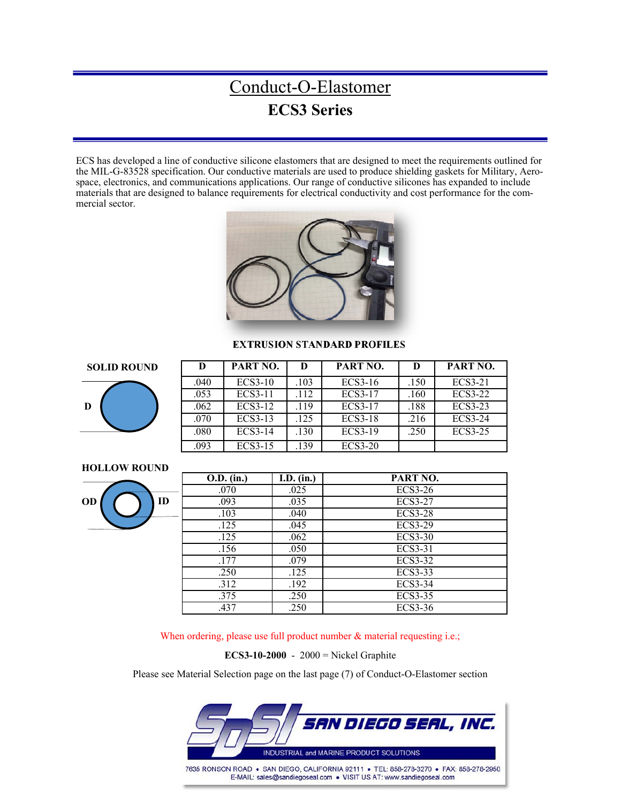### Conduct-O-Elastomer **ECS3 Series**

ECS has developed a line of conductive silicone elastomers that are designed to meet the requirements outlined for the MIL-G-83528 specification. Our conductive materials are used to produce shielding gaskets for Military, Aerospace, electronics, and communications applications. Our range of conductive silicones has expanded to include materials that are designed to balance requirements for electrical conductivity and cost performance for the commercial sector.



#### **EXTRUSION STANDARD PROFILES**





| D    | PART NO.       | D    | PART NO.       | D    | PART NO.       |
|------|----------------|------|----------------|------|----------------|
| .040 | <b>ECS3-10</b> | .103 | $ECS3-16$      | .150 | <b>ECS3-21</b> |
| .053 | ECS3-11        | .112 | <b>ECS3-17</b> | .160 | <b>ECS3-22</b> |
| .062 | ECS3-12        | .119 | <b>ECS3-17</b> | .188 | <b>ECS3-23</b> |
| .070 | ECS3-13        | .125 | <b>ECS3-18</b> | .216 | <b>ECS3-24</b> |
| .080 | <b>ECS3-14</b> | .130 | <b>ECS3-19</b> | .250 | <b>ECS3-25</b> |
| .093 | <b>ECS3-15</b> | .139 | $ECS3-20$      |      |                |

### **HOLLOW ROUND**



| O.D. (in.) | I.D. (in.) | PART NO.       |
|------------|------------|----------------|
| .070       | .025       | <b>ECS3-26</b> |
| .093       | .035       | <b>ECS3-27</b> |
| .103       | .040       | <b>ECS3-28</b> |
| .125       | .045       | <b>ECS3-29</b> |
| .125       | .062       | $ECS3-30$      |
| .156       | .050       | ECS3-31        |
| .177       | .079       | <b>ECS3-32</b> |
| .250       | .125       | <b>ECS3-33</b> |
| .312       | .192       | <b>ECS3-34</b> |
| .375       | .250       | <b>ECS3-35</b> |
| .437       | .250       | ECS3-36        |

When ordering, please use full product number & material requesting i.e.;

**ECS3-10-2000** - 2000 = Nickel Graphite

Please see Material Selection page on the last page (7) of Conduct-O-Elastomer section

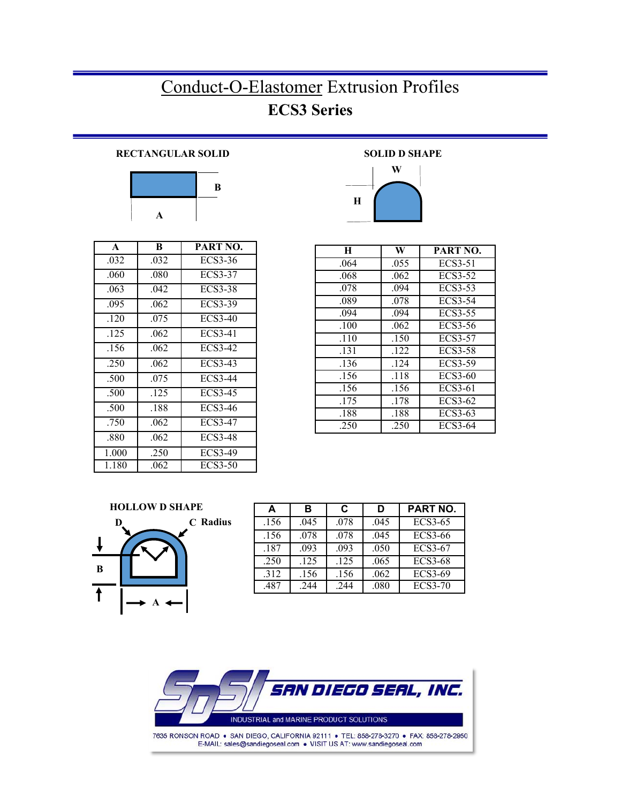# Conduct-O-Elastomer Extrusion Profiles **ECS3 Series**

### **RECTANGULAR SOLID**



| $\mathbf{A}$ | B    | PART NO.       |
|--------------|------|----------------|
| .032         | .032 | ECS3-36        |
| .060         | .080 | <b>ECS3-37</b> |
| .063         | .042 | ECS3-38        |
| .095         | .062 | <b>ECS3-39</b> |
| .120         | .075 | ECS3-40        |
| .125         | .062 | <b>ECS3-41</b> |
| .156         | .062 | ECS3-42        |
| .250         | .062 | ECS3-43        |
| .500         | .075 | <b>ECS3-44</b> |
| .500         | .125 | ECS3-45        |
| .500         | .188 | ECS3-46        |
| .750         | .062 | ECS3-47        |
| .880         | .062 | <b>ECS3-48</b> |
| 1.000        | .250 | <b>ECS3-49</b> |
| 1.180        | .062 | ECS3-50        |

 **SOLID D SHAPE** 



| H    | W    | PART NO.       |
|------|------|----------------|
| .064 | .055 | ECS3-51        |
| .068 | .062 | ECS3-52        |
| .078 | .094 | ECS3-53        |
| .089 | .078 | <b>ECS3-54</b> |
| .094 | .094 | <b>ECS3-55</b> |
| .100 | .062 | ECS3-56        |
| .110 | .150 | <b>ECS3-57</b> |
| .131 | .122 | <b>ECS3-58</b> |
| .136 | .124 | <b>ECS3-59</b> |
| .156 | .118 | ECS3-60        |
| .156 | .156 | ECS3-61        |
| .175 | .178 | ECS3-62        |
| .188 | .188 | ECS3-63        |
| .250 | .250 | ECS3-64        |



| A    | в    | C    | D    | <b>PART NO.</b> |
|------|------|------|------|-----------------|
| .156 | .045 | .078 | .045 | <b>ECS3-65</b>  |
| .156 | .078 | .078 | .045 | <b>ECS3-66</b>  |
| .187 | .093 | .093 | .050 | ECS3-67         |
| .250 | .125 | .125 | .065 | ECS3-68         |
| .312 | .156 | .156 | .062 | <b>ECS3-69</b>  |
| .487 | .244 | .244 | .080 | <b>ECS3-70</b>  |

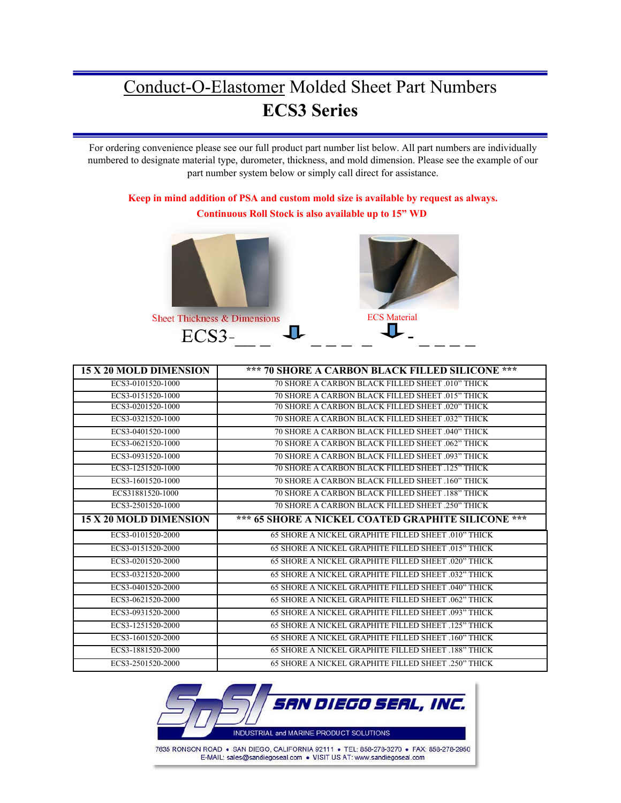# Conduct-O-Elastomer Molded Sheet Part Numbers **ECS3 Series**

For ordering convenience please see our full product part number list below. All part numbers are individually numbered to designate material type, durometer, thickness, and mold dimension. Please see the example of our part number system below or simply call direct for assistance.

### **Keep in mind addition of PSA and custom mold size is available by request as always. Continuous Roll Stock is also available up to 15" WD**



| 15 X 20 MOLD DIMENSION | *** 70 SHORE A CARBON BLACK FILLED SILICONE ***           |  |  |  |
|------------------------|-----------------------------------------------------------|--|--|--|
| ECS3-0101520-1000      | 70 SHORE A CARBON BLACK FILLED SHEET .010" THICK          |  |  |  |
| ECS3-0151520-1000      | <b>70 SHORE A CARBON BLACK FILLED SHEET 015" THICK</b>    |  |  |  |
| ECS3-0201520-1000      | 70 SHORE A CARBON BLACK FILLED SHEET .020" THICK          |  |  |  |
| ECS3-0321520-1000      | 70 SHORE A CARBON BLACK FILLED SHEET .032" THICK          |  |  |  |
| ECS3-0401520-1000      | 70 SHORE A CARBON BLACK FILLED SHEET .040" THICK          |  |  |  |
| ECS3-0621520-1000      | 70 SHORE A CARBON BLACK FILLED SHEET .062" THICK          |  |  |  |
| ECS3-0931520-1000      | 70 SHORE A CARBON BLACK FILLED SHEET .093" THICK          |  |  |  |
| ECS3-1251520-1000      | <b>70 SHORE A CARBON BLACK FILLED SHEET 125" THICK</b>    |  |  |  |
| ECS3-1601520-1000      | 70 SHORE A CARBON BLACK FILLED SHEET .160" THICK          |  |  |  |
| ECS31881520-1000       | 70 SHORE A CARBON BLACK FILLED SHEET .188" THICK          |  |  |  |
| ECS3-2501520-1000      | 70 SHORE A CARBON BLACK FILLED SHEET .250" THICK          |  |  |  |
| 15 X 20 MOLD DIMENSION | *** 65 SHORE A NICKEL COATED GRAPHITE SILICONE ***        |  |  |  |
| ECS3-0101520-2000      | 65 SHORE A NICKEL GRAPHITE FILLED SHEET .010" THICK       |  |  |  |
| ECS3-0151520-2000      | 65 SHORE A NICKEL GRAPHITE FILLED SHEET .015" THICK       |  |  |  |
| ECS3-0201520-2000      | 65 SHORE A NICKEL GRAPHITE FILLED SHEET .020" THICK       |  |  |  |
| ECS3-0321520-2000      | 65 SHORE A NICKEL GRAPHITE FILLED SHEET .032" THICK       |  |  |  |
| ECS3-0401520-2000      | 65 SHORE A NICKEL GRAPHITE FILLED SHEET .040" THICK       |  |  |  |
| ECS3-0621520-2000      | 65 SHORE A NICKEL GRAPHITE FILLED SHEET .062" THICK       |  |  |  |
| ECS3-0931520-2000      | 65 SHORE A NICKEL GRAPHITE FILLED SHEET .093" THICK       |  |  |  |
| ECS3-1251520-2000      | <b>65 SHORE A NICKEL GRAPHITE FILLED SHEET 125" THICK</b> |  |  |  |
| ECS3-1601520-2000      |                                                           |  |  |  |
|                        | 65 SHORE A NICKEL GRAPHITE FILLED SHEET .160" THICK       |  |  |  |
| ECS3-1881520-2000      | 65 SHORE A NICKEL GRAPHITE FILLED SHEET .188" THICK       |  |  |  |

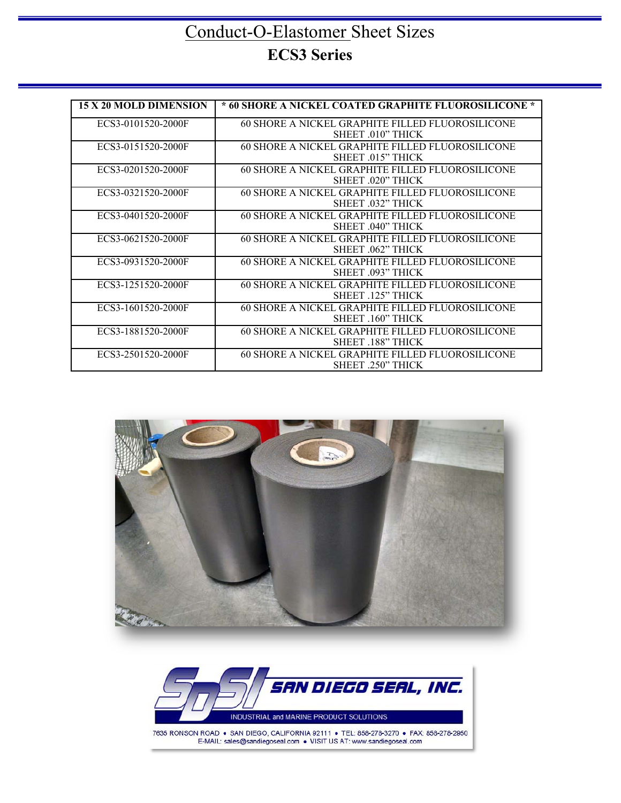### Conduct-O-Elastomer Sheet Sizes **ECS3 Series**

| <b>15 X 20 MOLD DIMENSION</b> | * 60 SHORE A NICKEL COATED GRAPHITE FLUOROSILICONE * |
|-------------------------------|------------------------------------------------------|
|                               |                                                      |
| ECS3-0101520-2000F            | 60 SHORE A NICKEL GRAPHITE FILLED FLUOROSILICONE     |
|                               | SHEET .010" THICK                                    |
| ECS3-0151520-2000F            | 60 SHORE A NICKEL GRAPHITE FILLED FLUOROSILICONE     |
|                               | SHEET 015" THICK                                     |
| ECS3-0201520-2000F            | 60 SHORE A NICKEL GRAPHITE FILLED FLUOROSILICONE     |
|                               | SHEET 020" THICK                                     |
| ECS3-0321520-2000F            | 60 SHORE A NICKEL GRAPHITE FILLED FLUOROSILICONE     |
|                               | SHEET 032" THICK                                     |
| ECS3-0401520-2000F            | 60 SHORE A NICKEL GRAPHITE FILLED FLUOROSILICONE     |
|                               | SHEET 040" THICK                                     |
| ECS3-0621520-2000F            | 60 SHORE A NICKEL GRAPHITE FILLED FLUOROSILICONE     |
|                               | SHEET 062" THICK                                     |
| ECS3-0931520-2000F            | 60 SHORE A NICKEL GRAPHITE FILLED FLUOROSILICONE     |
|                               | SHEET 093" THICK                                     |
| ECS3-1251520-2000F            | 60 SHORE A NICKEL GRAPHITE FILLED FLUOROSILICONE     |
|                               | SHEET 125" THICK                                     |
| ECS3-1601520-2000F            | 60 SHORE A NICKEL GRAPHITE FILLED FLUOROSILICONE     |
|                               | SHEET .160" THICK                                    |
| ECS3-1881520-2000F            | 60 SHORE A NICKEL GRAPHITE FILLED FLUOROSILICONE     |
|                               | <b>SHEET .188" THICK</b>                             |
| ECS3-2501520-2000F            | 60 SHORE A NICKEL GRAPHITE FILLED FLUOROSILICONE     |
|                               | SHEET .250" THICK                                    |



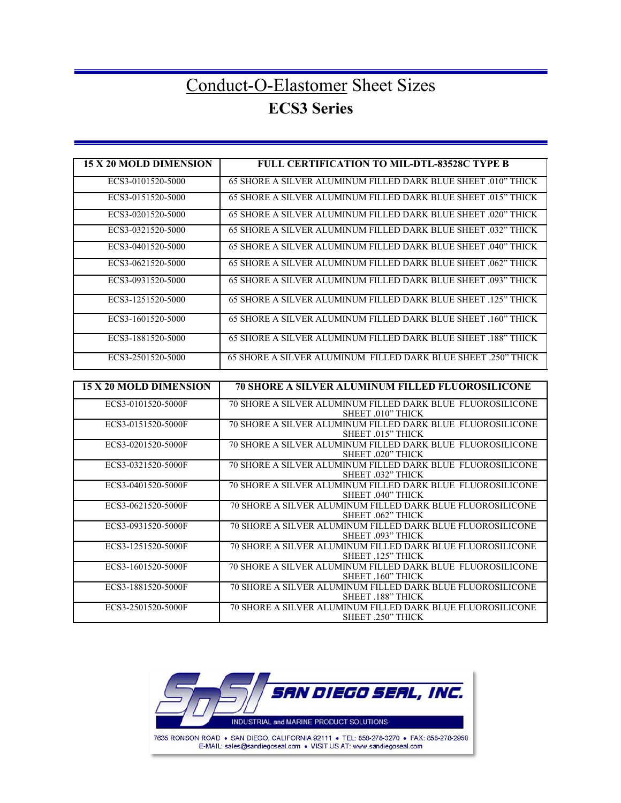## Conduct-O-Elastomer Sheet Sizes **ECS3 Series**

| 15 X 20 MOLD DIMENSION        | <b>FULL CERTIFICATION TO MIL-DTL-83528C TYPE B</b>                                                   |
|-------------------------------|------------------------------------------------------------------------------------------------------|
| ECS3-0101520-5000             | 65 SHORE A SILVER ALUMINUM FILLED DARK BLUE SHEET 010" THICK                                         |
| ECS3-0151520-5000             | 65 SHORE A SILVER ALUMINUM FILLED DARK BLUE SHEET .015" THICK                                        |
| ECS3-0201520-5000             | 65 SHORE A SILVER ALUMINUM FILLED DARK BLUE SHEET .020" THICK                                        |
| ECS3-0321520-5000             | 65 SHORE A SILVER ALUMINUM FILLED DARK BLUE SHEET .032" THICK                                        |
| ECS3-0401520-5000             | 65 SHORE A SILVER ALUMINUM FILLED DARK BLUE SHEET 040" THICK                                         |
| ECS3-0621520-5000             | 65 SHORE A SILVER ALUMINUM FILLED DARK BLUE SHEET .062" THICK                                        |
| ECS3-0931520-5000             | 65 SHORE A SILVER ALUMINUM FILLED DARK BLUE SHEET .093" THICK                                        |
| ECS3-1251520-5000             | 65 SHORE A SILVER ALUMINUM FILLED DARK BLUE SHEET .125" THICK                                        |
| ECS3-1601520-5000             | 65 SHORE A SILVER ALUMINUM FILLED DARK BLUE SHEET .160" THICK                                        |
| ECS3-1881520-5000             | 65 SHORE A SILVER ALUMINUM FILLED DARK BLUE SHEET .188" THICK                                        |
| ECS3-2501520-5000             | 65 SHORE A SILVER ALUMINUM FILLED DARK BLUE SHEET .250" THICK                                        |
|                               |                                                                                                      |
| <b>15 X 20 MOLD DIMENSION</b> | <b>70 SHORE A SILVER ALUMINUM FILLED FLUOROSILICONE</b>                                              |
| ECS3-0101520-5000F            | 70 SHORE A SILVER ALUMINUM FILLED DARK BLUE FLUOROSILICONE<br>SHEET .010" THICK                      |
| ECS3-0151520-5000F            | 70 SHORE A SILVER ALUMINUM FILLED DARK BLUE FLUOROSILICONE<br>SHEET .015" THICK                      |
| ECS3-0201520-5000F            | 70 SHORE A SILVER ALUMINUM FILLED DARK BLUE FLUOROSILICONE<br>SHEET .020" THICK                      |
| ECS3-0321520-5000F            | 70 SHORE A SILVER ALUMINUM FILLED DARK BLUE FLUOROSILICONE<br>SHEET .032" THICK                      |
| ECS3-0401520-5000F            | 70 SHORE A SILVER ALUMINUM FILLED DARK BLUE FLUOROSILICONE<br>SHEET .040" THICK                      |
| ECS3-0621520-5000F            | 70 SHORE A SILVER ALUMINUM FILLED DARK BLUE FLUOROSILICONE<br>SHEET .062" THICK                      |
| ECS3-0931520-5000F            | 70 SHORE A SILVER ALUMINUM FILLED DARK BLUE FLUOROSILICONE<br>SHEET .093" THICK                      |
| ECS3-1251520-5000F            | 70 SHORE A SILVER ALUMINUM FILLED DARK BLUE FLUOROSILICONE<br>SHEET .125" THICK                      |
| ECS3-1601520-5000F            | 70 SHORE A SILVER ALUMINUM FILLED DARK BLUE FLUOROSILICONE<br>SHEET .160" THICK                      |
| ECS3-1881520-5000F            | 70 SHORE A SILVER ALUMINUM FILLED DARK BLUE FLUOROSILICONE                                           |
| ECS3-2501520-5000F            | SHEET .188" THICK<br>70 SHORE A SILVER ALUMINUM FILLED DARK BLUE FLUOROSILICONE<br>SHEET .250" THICK |

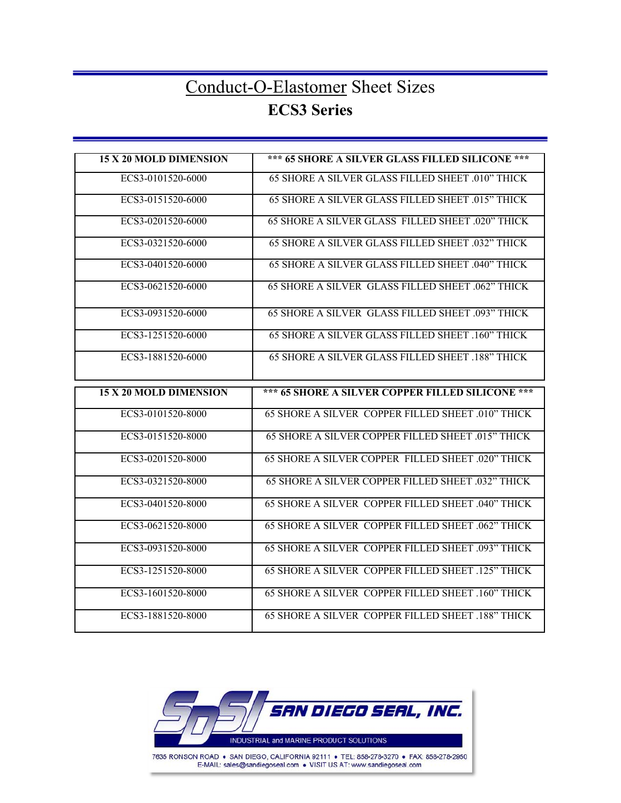### Conduct-O-Elastomer Sheet Sizes **ECS3 Series**

| <b>15 X 20 MOLD DIMENSION</b> | *** 65 SHORE A SILVER GLASS FILLED SILICONE ***   |
|-------------------------------|---------------------------------------------------|
| ECS3-0101520-6000             | 65 SHORE A SILVER GLASS FILLED SHEET .010" THICK  |
| ECS3-0151520-6000             | 65 SHORE A SILVER GLASS FILLED SHEET .015" THICK  |
| ECS3-0201520-6000             | 65 SHORE A SILVER GLASS FILLED SHEET .020" THICK  |
| ECS3-0321520-6000             | 65 SHORE A SILVER GLASS FILLED SHEET .032" THICK  |
| ECS3-0401520-6000             | 65 SHORE A SILVER GLASS FILLED SHEET .040" THICK  |
| ECS3-0621520-6000             | 65 SHORE A SILVER GLASS FILLED SHEET .062" THICK  |
| ECS3-0931520-6000             | 65 SHORE A SILVER GLASS FILLED SHEET .093" THICK  |
| ECS3-1251520-6000             | 65 SHORE A SILVER GLASS FILLED SHEET .160" THICK  |
| ECS3-1881520-6000             | 65 SHORE A SILVER GLASS FILLED SHEET .188" THICK  |
|                               |                                                   |
| <b>15 X 20 MOLD DIMENSION</b> | *** 65 SHORE A SILVER COPPER FILLED SILICONE ***  |
| ECS3-0101520-8000             | 65 SHORE A SILVER COPPER FILLED SHEET .010" THICK |
| ECS3-0151520-8000             | 65 SHORE A SILVER COPPER FILLED SHEET .015" THICK |
| ECS3-0201520-8000             | 65 SHORE A SILVER COPPER FILLED SHEET .020" THICK |
| ECS3-0321520-8000             | 65 SHORE A SILVER COPPER FILLED SHEET .032" THICK |
| ECS3-0401520-8000             | 65 SHORE A SILVER COPPER FILLED SHEET .040" THICK |
| ECS3-0621520-8000             | 65 SHORE A SILVER COPPER FILLED SHEET .062" THICK |
| ECS3-0931520-8000             | 65 SHORE A SILVER COPPER FILLED SHEET .093" THICK |
| ECS3-1251520-8000             | 65 SHORE A SILVER COPPER FILLED SHEET .125" THICK |
| ECS3-1601520-8000             | 65 SHORE A SILVER COPPER FILLED SHEET .160" THICK |



7635 RONSON ROAD . SAN DIEGO, CALIFORNIA 92111 . TEL: 858-278-3270 . FAX: 858-278-2950 E-MAIL: sales@sandiegoseal.com . VISIT US AT: www.sandiegoseal.com